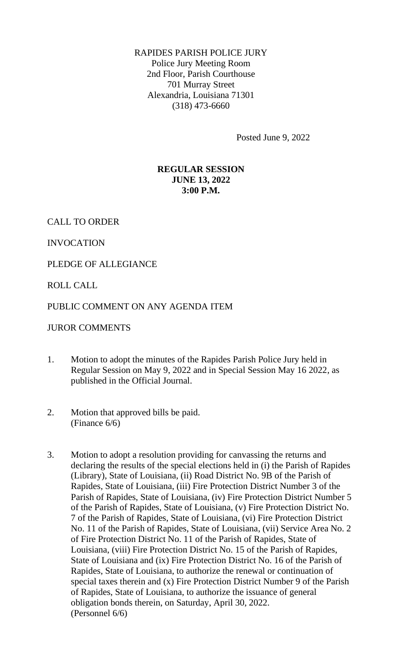RAPIDES PARISH POLICE JURY Police Jury Meeting Room 2nd Floor, Parish Courthouse 701 Murray Street Alexandria, Louisiana 71301 (318) 473-6660

Posted June 9, 2022

# **REGULAR SESSION JUNE 13, 2022 3:00 P.M.**

CALL TO ORDER

INVOCATION

PLEDGE OF ALLEGIANCE

ROLL CALL

### PUBLIC COMMENT ON ANY AGENDA ITEM

### JUROR COMMENTS

- 1. Motion to adopt the minutes of the Rapides Parish Police Jury held in Regular Session on May 9, 2022 and in Special Session May 16 2022, as published in the Official Journal.
- 2. Motion that approved bills be paid. (Finance 6/6)
- 3. Motion to adopt a resolution providing for canvassing the returns and declaring the results of the special elections held in (i) the Parish of Rapides (Library), State of Louisiana, (ii) Road District No. 9B of the Parish of Rapides, State of Louisiana, (iii) Fire Protection District Number 3 of the Parish of Rapides, State of Louisiana, (iv) Fire Protection District Number 5 of the Parish of Rapides, State of Louisiana, (v) Fire Protection District No. 7 of the Parish of Rapides, State of Louisiana, (vi) Fire Protection District No. 11 of the Parish of Rapides, State of Louisiana, (vii) Service Area No. 2 of Fire Protection District No. 11 of the Parish of Rapides, State of Louisiana, (viii) Fire Protection District No. 15 of the Parish of Rapides, State of Louisiana and (ix) Fire Protection District No. 16 of the Parish of Rapides, State of Louisiana, to authorize the renewal or continuation of special taxes therein and (x) Fire Protection District Number 9 of the Parish of Rapides, State of Louisiana, to authorize the issuance of general obligation bonds therein, on Saturday, April 30, 2022. (Personnel 6/6)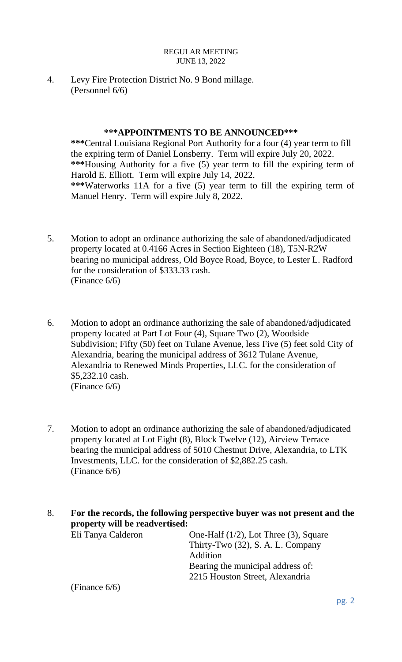4. Levy Fire Protection District No. 9 Bond millage. (Personnel 6/6)

### **\*\*\*APPOINTMENTS TO BE ANNOUNCED\*\*\***

**\*\*\***Central Louisiana Regional Port Authority for a four (4) year term to fill the expiring term of Daniel Lonsberry. Term will expire July 20, 2022. **\*\*\***Housing Authority for a five (5) year term to fill the expiring term of Harold E. Elliott. Term will expire July 14, 2022. **\*\*\***Waterworks 11A for a five (5) year term to fill the expiring term of Manuel Henry. Term will expire July 8, 2022.

- 5. Motion to adopt an ordinance authorizing the sale of abandoned/adjudicated property located at 0.4166 Acres in Section Eighteen (18), T5N-R2W bearing no municipal address, Old Boyce Road, Boyce, to Lester L. Radford for the consideration of \$333.33 cash. (Finance 6/6)
- 6. Motion to adopt an ordinance authorizing the sale of abandoned/adjudicated property located at Part Lot Four (4), Square Two (2), Woodside Subdivision; Fifty (50) feet on Tulane Avenue, less Five (5) feet sold City of Alexandria, bearing the municipal address of 3612 Tulane Avenue, Alexandria to Renewed Minds Properties, LLC. for the consideration of \$5,232.10 cash. (Finance 6/6)
- 7. Motion to adopt an ordinance authorizing the sale of abandoned/adjudicated property located at Lot Eight (8), Block Twelve (12), Airview Terrace bearing the municipal address of 5010 Chestnut Drive, Alexandria, to LTK Investments, LLC. for the consideration of \$2,882.25 cash. (Finance 6/6)

8. **For the records, the following perspective buyer was not present and the property will be readvertised:**

Eli Tanya Calderon One-Half (1/2), Lot Three (3), Square Thirty-Two (32), S. A. L. Company Addition Bearing the municipal address of: 2215 Houston Street, Alexandria

(Finance 6/6)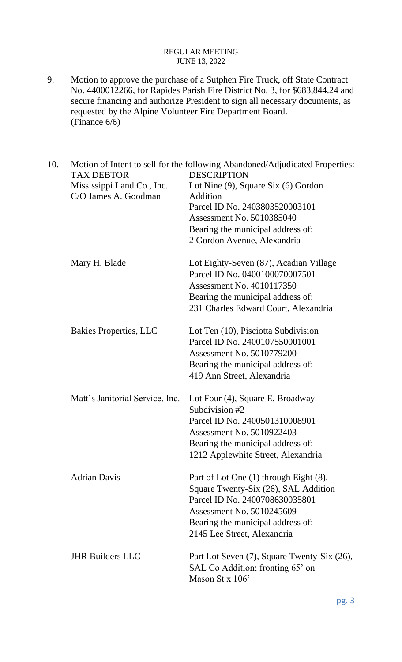9. Motion to approve the purchase of a Sutphen Fire Truck, off State Contract No. 4400012266, for Rapides Parish Fire District No. 3, for \$683,844.24 and secure financing and authorize President to sign all necessary documents, as requested by the Alpine Volunteer Fire Department Board. (Finance 6/6)

| 10. | Motion of Intent to sell for the following Abandoned/Adjudicated Properties:<br><b>TAX DEBTOR</b><br><b>DESCRIPTION</b> |                                             |  |  |
|-----|-------------------------------------------------------------------------------------------------------------------------|---------------------------------------------|--|--|
|     | Mississippi Land Co., Inc.                                                                                              | Lot Nine (9), Square Six (6) Gordon         |  |  |
|     | C/O James A. Goodman                                                                                                    | Addition                                    |  |  |
|     |                                                                                                                         | Parcel ID No. 2403803520003101              |  |  |
|     |                                                                                                                         | Assessment No. 5010385040                   |  |  |
|     |                                                                                                                         | Bearing the municipal address of:           |  |  |
|     |                                                                                                                         | 2 Gordon Avenue, Alexandria                 |  |  |
|     | Mary H. Blade                                                                                                           | Lot Eighty-Seven (87), Acadian Village      |  |  |
|     |                                                                                                                         | Parcel ID No. 0400100070007501              |  |  |
|     |                                                                                                                         | Assessment No. 4010117350                   |  |  |
|     |                                                                                                                         | Bearing the municipal address of:           |  |  |
|     |                                                                                                                         | 231 Charles Edward Court, Alexandria        |  |  |
|     | <b>Bakies Properties, LLC</b>                                                                                           | Lot Ten (10), Pisciotta Subdivision         |  |  |
|     |                                                                                                                         | Parcel ID No. 2400107550001001              |  |  |
|     |                                                                                                                         | Assessment No. 5010779200                   |  |  |
|     |                                                                                                                         | Bearing the municipal address of:           |  |  |
|     |                                                                                                                         | 419 Ann Street, Alexandria                  |  |  |
|     | Matt's Janitorial Service, Inc.                                                                                         | Lot Four (4), Square E, Broadway            |  |  |
|     |                                                                                                                         | Subdivision #2                              |  |  |
|     |                                                                                                                         | Parcel ID No. 2400501310008901              |  |  |
|     |                                                                                                                         | Assessment No. 5010922403                   |  |  |
|     |                                                                                                                         | Bearing the municipal address of:           |  |  |
|     |                                                                                                                         | 1212 Applewhite Street, Alexandria          |  |  |
|     | <b>Adrian Davis</b>                                                                                                     | Part of Lot One (1) through Eight (8),      |  |  |
|     |                                                                                                                         | Square Twenty-Six (26), SAL Addition        |  |  |
|     |                                                                                                                         | Parcel ID No. 2400708630035801              |  |  |
|     |                                                                                                                         | Assessment No. 5010245609                   |  |  |
|     |                                                                                                                         | Bearing the municipal address of:           |  |  |
|     |                                                                                                                         | 2145 Lee Street, Alexandria                 |  |  |
|     | <b>JHR Builders LLC</b>                                                                                                 | Part Lot Seven (7), Square Twenty-Six (26), |  |  |
|     |                                                                                                                         | SAL Co Addition; fronting 65' on            |  |  |
|     |                                                                                                                         | Mason St x $106'$                           |  |  |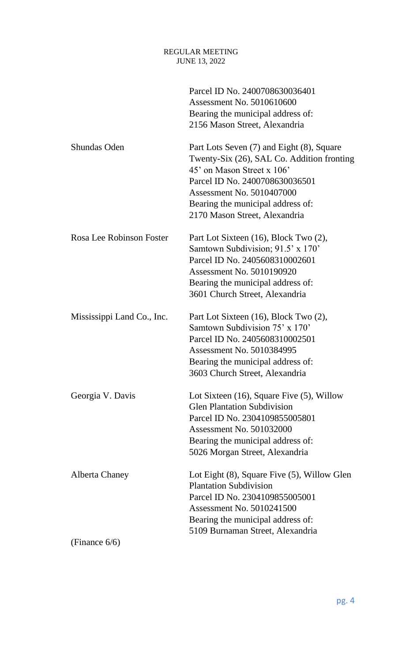|                            | Parcel ID No. 2400708630036401<br>Assessment No. 5010610600<br>Bearing the municipal address of:<br>2156 Mason Street, Alexandria                                                                                                                                 |
|----------------------------|-------------------------------------------------------------------------------------------------------------------------------------------------------------------------------------------------------------------------------------------------------------------|
| Shundas Oden               | Part Lots Seven (7) and Eight (8), Square<br>Twenty-Six (26), SAL Co. Addition fronting<br>45' on Mason Street x 106'<br>Parcel ID No. 2400708630036501<br><b>Assessment No. 5010407000</b><br>Bearing the municipal address of:<br>2170 Mason Street, Alexandria |
| Rosa Lee Robinson Foster   | Part Lot Sixteen (16), Block Two (2),<br>Samtown Subdivision; 91.5' x 170'<br>Parcel ID No. 2405608310002601<br>Assessment No. 5010190920<br>Bearing the municipal address of:<br>3601 Church Street, Alexandria                                                  |
| Mississippi Land Co., Inc. | Part Lot Sixteen (16), Block Two (2),<br>Samtown Subdivision $75' \times 170'$<br>Parcel ID No. 2405608310002501<br><b>Assessment No. 5010384995</b><br>Bearing the municipal address of:<br>3603 Church Street, Alexandria                                       |
| Georgia V. Davis           | Lot Sixteen $(16)$ , Square Five $(5)$ , Willow<br><b>Glen Plantation Subdivision</b><br>Parcel ID No. 2304109855005801<br><b>Assessment No. 501032000</b><br>Bearing the municipal address of:<br>5026 Morgan Street, Alexandria                                 |
| Alberta Chaney             | Lot Eight $(8)$ , Square Five $(5)$ , Willow Glen<br><b>Plantation Subdivision</b><br>Parcel ID No. 2304109855005001<br>Assessment No. 5010241500<br>Bearing the municipal address of:<br>5109 Burnaman Street, Alexandria                                        |
| (Finance $6/6$ )           |                                                                                                                                                                                                                                                                   |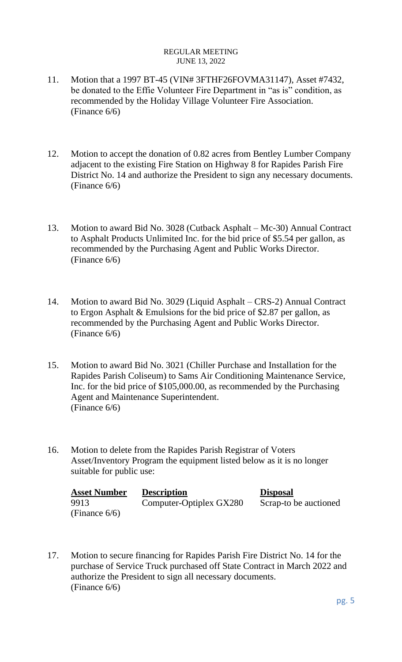- 11. Motion that a 1997 BT-45 (VIN# 3FTHF26FOVMA31147), Asset #7432, be donated to the Effie Volunteer Fire Department in "as is" condition, as recommended by the Holiday Village Volunteer Fire Association. (Finance 6/6)
- 12. Motion to accept the donation of 0.82 acres from Bentley Lumber Company adjacent to the existing Fire Station on Highway 8 for Rapides Parish Fire District No. 14 and authorize the President to sign any necessary documents. (Finance 6/6)
- 13. Motion to award Bid No. 3028 (Cutback Asphalt Mc-30) Annual Contract to Asphalt Products Unlimited Inc. for the bid price of \$5.54 per gallon, as recommended by the Purchasing Agent and Public Works Director. (Finance 6/6)
- 14. Motion to award Bid No. 3029 (Liquid Asphalt CRS-2) Annual Contract to Ergon Asphalt & Emulsions for the bid price of \$2.87 per gallon, as recommended by the Purchasing Agent and Public Works Director. (Finance 6/6)
- 15. Motion to award Bid No. 3021 (Chiller Purchase and Installation for the Rapides Parish Coliseum) to Sams Air Conditioning Maintenance Service, Inc. for the bid price of \$105,000.00, as recommended by the Purchasing Agent and Maintenance Superintendent. (Finance 6/6)
- 16. Motion to delete from the Rapides Parish Registrar of Voters Asset/Inventory Program the equipment listed below as it is no longer suitable for public use:

| <b>Asset Number</b> | <b>Description</b>      | <b>Disposal</b>       |
|---------------------|-------------------------|-----------------------|
| 9913                | Computer-Optiplex GX280 | Scrap-to be auctioned |
| (Finance $6/6$ )    |                         |                       |

17. Motion to secure financing for Rapides Parish Fire District No. 14 for the purchase of Service Truck purchased off State Contract in March 2022 and authorize the President to sign all necessary documents. (Finance 6/6)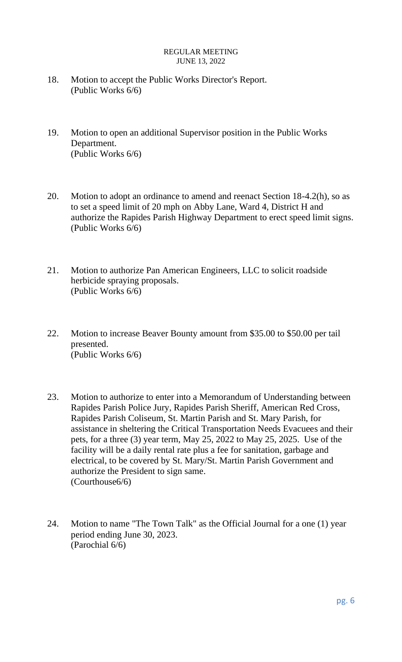- 18. Motion to accept the Public Works Director's Report. (Public Works 6/6)
- 19. Motion to open an additional Supervisor position in the Public Works Department. (Public Works 6/6)
- 20. Motion to adopt an ordinance to amend and reenact Section 18-4.2(h), so as to set a speed limit of 20 mph on Abby Lane, Ward 4, District H and authorize the Rapides Parish Highway Department to erect speed limit signs. (Public Works 6/6)
- 21. Motion to authorize Pan American Engineers, LLC to solicit roadside herbicide spraying proposals. (Public Works 6/6)
- 22. Motion to increase Beaver Bounty amount from \$35.00 to \$50.00 per tail presented. (Public Works 6/6)
- 23. Motion to authorize to enter into a Memorandum of Understanding between Rapides Parish Police Jury, Rapides Parish Sheriff, American Red Cross, Rapides Parish Coliseum, St. Martin Parish and St. Mary Parish, for assistance in sheltering the Critical Transportation Needs Evacuees and their pets, for a three (3) year term, May 25, 2022 to May 25, 2025. Use of the facility will be a daily rental rate plus a fee for sanitation, garbage and electrical, to be covered by St. Mary/St. Martin Parish Government and authorize the President to sign same. (Courthouse6/6)
- 24. Motion to name "The Town Talk" as the Official Journal for a one (1) year period ending June 30, 2023. (Parochial 6/6)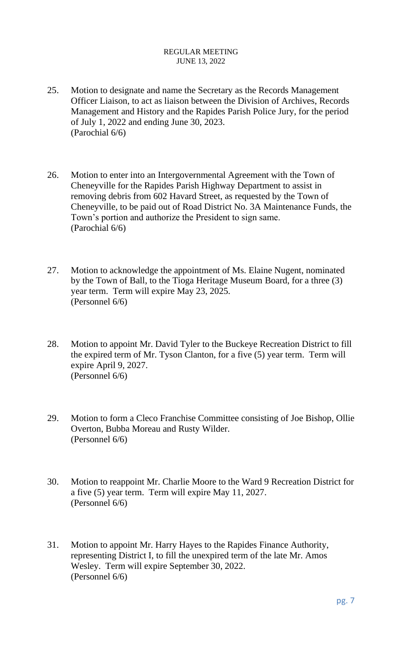- 25. Motion to designate and name the Secretary as the Records Management Officer Liaison, to act as liaison between the Division of Archives, Records Management and History and the Rapides Parish Police Jury, for the period of July 1, 2022 and ending June 30, 2023. (Parochial 6/6)
- 26. Motion to enter into an Intergovernmental Agreement with the Town of Cheneyville for the Rapides Parish Highway Department to assist in removing debris from 602 Havard Street, as requested by the Town of Cheneyville, to be paid out of Road District No. 3A Maintenance Funds, the Town's portion and authorize the President to sign same. (Parochial 6/6)
- 27. Motion to acknowledge the appointment of Ms. Elaine Nugent, nominated by the Town of Ball, to the Tioga Heritage Museum Board, for a three (3) year term. Term will expire May 23, 2025. (Personnel 6/6)
- 28. Motion to appoint Mr. David Tyler to the Buckeye Recreation District to fill the expired term of Mr. Tyson Clanton, for a five (5) year term. Term will expire April 9, 2027. (Personnel 6/6)
- 29. Motion to form a Cleco Franchise Committee consisting of Joe Bishop, Ollie Overton, Bubba Moreau and Rusty Wilder. (Personnel 6/6)
- 30. Motion to reappoint Mr. Charlie Moore to the Ward 9 Recreation District for a five (5) year term. Term will expire May 11, 2027. (Personnel 6/6)
- 31. Motion to appoint Mr. Harry Hayes to the Rapides Finance Authority, representing District I, to fill the unexpired term of the late Mr. Amos Wesley. Term will expire September 30, 2022. (Personnel 6/6)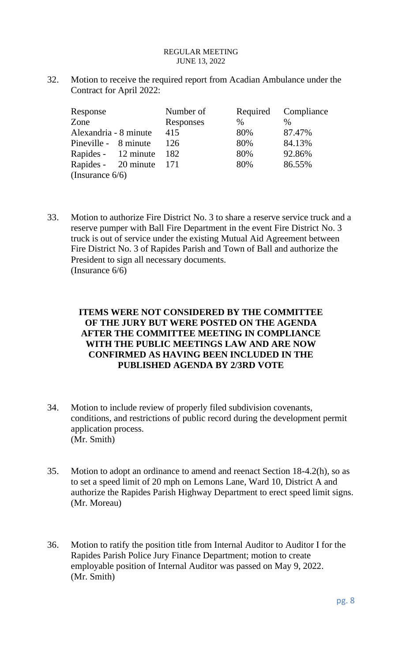32. Motion to receive the required report from Acadian Ambulance under the Contract for April 2022:

| Response              |  | Number of | Required | Compliance    |  |  |  |
|-----------------------|--|-----------|----------|---------------|--|--|--|
| Zone                  |  | Responses | $\%$     | $\frac{0}{0}$ |  |  |  |
| Alexandria - 8 minute |  | 415       | 80%      | 87.47%        |  |  |  |
| Pineville - 8 minute  |  | 126       | 80%      | 84.13%        |  |  |  |
| Rapides - 12 minute   |  | 182       | 80%      | 92.86%        |  |  |  |
| Rapides - 20 minute   |  | 171       | 80%      | 86.55%        |  |  |  |
| (Insurance $6/6$ )    |  |           |          |               |  |  |  |

33. Motion to authorize Fire District No. 3 to share a reserve service truck and a reserve pumper with Ball Fire Department in the event Fire District No. 3 truck is out of service under the existing Mutual Aid Agreement between Fire District No. 3 of Rapides Parish and Town of Ball and authorize the President to sign all necessary documents. (Insurance 6/6)

# **ITEMS WERE NOT CONSIDERED BY THE COMMITTEE OF THE JURY BUT WERE POSTED ON THE AGENDA AFTER THE COMMITTEE MEETING IN COMPLIANCE WITH THE PUBLIC MEETINGS LAW AND ARE NOW CONFIRMED AS HAVING BEEN INCLUDED IN THE PUBLISHED AGENDA BY 2/3RD VOTE**

- 34. Motion to include review of properly filed subdivision covenants, conditions, and restrictions of public record during the development permit application process. (Mr. Smith)
- 35. Motion to adopt an ordinance to amend and reenact Section 18-4.2(h), so as to set a speed limit of 20 mph on Lemons Lane, Ward 10, District A and authorize the Rapides Parish Highway Department to erect speed limit signs. (Mr. Moreau)
- 36. Motion to ratify the position title from Internal Auditor to Auditor I for the Rapides Parish Police Jury Finance Department; motion to create employable position of Internal Auditor was passed on May 9, 2022. (Mr. Smith)